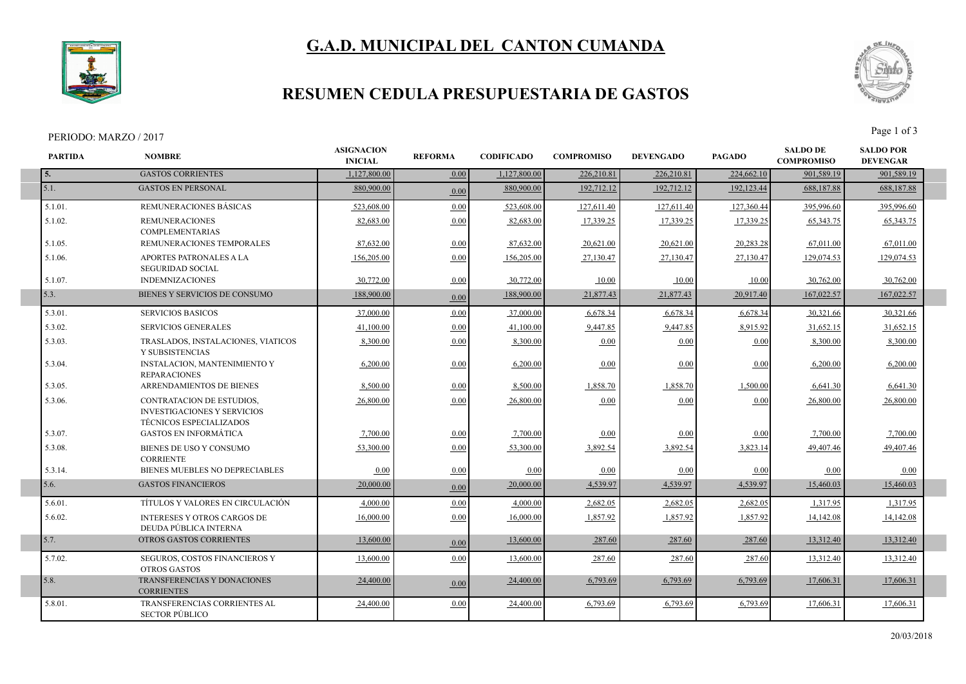# **G.A.D. MUNICIPAL DEL CANTON CUMANDA**



### **RESUMEN CEDULA PRESUPUESTARIA DE GASTOS**

#### PERIODO: MARZO / 2017 Page 1 of 3

I



| <b>PARTIDA</b> | <b>NOMBRE</b>                                                                                     | <b>ASIGNACION</b><br><b>INICIAL</b> | <b>REFORMA</b> | <b>CODIFICADO</b> | <b>COMPROMISO</b> | <b>DEVENGADO</b> | <b>PAGADO</b> | <b>SALDO DE</b><br><b>COMPROMISO</b> | <b>SALDO POR</b><br><b>DEVENGAR</b> |
|----------------|---------------------------------------------------------------------------------------------------|-------------------------------------|----------------|-------------------|-------------------|------------------|---------------|--------------------------------------|-------------------------------------|
| 5.             | <b>GASTOS CORRIENTES</b>                                                                          | 1,127,800.00                        | 0.00           | 1,127,800.00      | 226,210.81        | 226,210.81       | 224,662.10    | 901,589.19                           | 901,589.19                          |
| 5.1.           | <b>GASTOS EN PERSONAL</b>                                                                         | 880,900.00                          | 0.00           | 880,900.00        | 192,712.12        | 192,712.12       | 192,123.44    | 688,187.88                           | 688,187.88                          |
| 5.1.01.        | REMUNERACIONES BÁSICAS                                                                            | 523,608.00                          | 0.00           | 523,608.00        | 127,611.40        | 127,611.40       | 127,360.44    | 395.996.60                           | 395,996.60                          |
| 5.1.02.        | <b>REMUNERACIONES</b><br><b>COMPLEMENTARIAS</b>                                                   | 82,683.00                           | 0.00           | 82,683.00         | 17,339.25         | 17,339.25        | 17,339.25     | 65, 343. 75                          | 65, 343. 75                         |
| 5.1.05.        | REMUNERACIONES TEMPORALES                                                                         | 87,632.00                           | 0.00           | 87,632.00         | 20,621.00         | 20,621.00        | 20,283.28     | 67,011.00                            | 67,011.00                           |
| 5.1.06.        | <b>APORTES PATRONALES A LA</b><br><b>SEGURIDAD SOCIAL</b>                                         | 156,205.00                          | 0.00           | 156,205.00        | 27,130.47         | 27,130.47        | 27,130.47     | 129,074.53                           | 129,074.53                          |
| 5.1.07.        | <b>INDEMNIZACIONES</b>                                                                            | 30.772.00                           | 0.00           | 30,772.00         | 10.00             | 10.00            | 10.00         | 30.762.00                            | 30,762.00                           |
| 5.3.           | BIENES Y SERVICIOS DE CONSUMO                                                                     | 188,900.00                          | 0.00           | 188,900.00        | 21,877.43         | 21,877.43        | 20,917.40     | 167,022.57                           | 167,022.57                          |
| 5.3.01.        | <b>SERVICIOS BASICOS</b>                                                                          | 37,000.00                           | 0.00           | 37,000.00         | 6,678.34          | 6,678.34         | 6,678.34      | 30,321.66                            | 30,321.66                           |
| 5.3.02.        | <b>SERVICIOS GENERALES</b>                                                                        | 41,100.00                           | 0.00           | 41,100.00         | 9,447.85          | 9,447.85         | 8,915.92      | 31,652.15                            | 31,652.15                           |
| 5.3.03.        | TRASLADOS, INSTALACIONES, VIATICOS<br>Y SUBSISTENCIAS                                             | 8,300.00                            | 0.00           | 8,300.00          | 0.00              | 0.00             | 0.00          | 8,300.00                             | 8,300.00                            |
| 5.3.04.        | <b>INSTALACION, MANTENIMIENTO Y</b><br><b>REPARACIONES</b>                                        | 6,200.00                            | 0.00           | 6,200.00          | 0.00              | 0.00             | 0.00          | 6,200.00                             | 6,200.00                            |
| 5.3.05.        | ARRENDAMIENTOS DE BIENES                                                                          | 8,500.00                            | 0.00           | 8,500.00          | 1,858.70          | 1,858.70         | 1,500.00      | 6,641.30                             | 6,641.30                            |
| 5.3.06.        | CONTRATACION DE ESTUDIOS,<br><b>INVESTIGACIONES Y SERVICIOS</b><br><b>TÉCNICOS ESPECIALIZADOS</b> | 26,800.00                           | 0.00           | 26,800.00         | 0.00              | 0.00             | 0.00          | 26,800.00                            | 26,800.00                           |
| 5.3.07.        | <b>GASTOS EN INFORMÁTICA</b>                                                                      | 7,700.00                            | 0.00           | 7,700.00          | 0.00              | 0.00             | 0.00          | 7,700.00                             | 7,700.00                            |
| 5.3.08.        | BIENES DE USO Y CONSUMO<br><b>CORRIENTE</b>                                                       | 53.300.00                           | 0.00           | 53,300.00         | 3,892.54          | 3,892.54         | 3,823.14      | 49.407.46                            | 49.407.46                           |
| 5.3.14.        | BIENES MUEBLES NO DEPRECIABLES                                                                    | 0.00                                | 0.00           | 0.00              | 0.00              | 0.00             | 0.00          | 0.00                                 | 0.00                                |
| 5.6.           | <b>GASTOS FINANCIEROS</b>                                                                         | 20,000.00                           | 0.00           | 20,000.00         | 4,539.97          | 4,539.97         | 4,539.97      | 15,460.03                            | 15,460.03                           |
| 5.6.01.        | TÍTULOS Y VALORES EN CIRCULACIÓN                                                                  | 4,000.00                            | 0.00           | 4,000.00          | 2,682.05          | 2,682.05         | 2,682.05      | 1,317.95                             | 1,317.95                            |
| 5.6.02.        | <b>INTERESES Y OTROS CARGOS DE</b><br>DEUDA PÚBLICA INTERNA                                       | 16,000.00                           | 0.00           | 16,000.00         | 1,857.92          | 1,857.92         | 1,857.92      | 14,142.08                            | 14,142.08                           |
| 5.7.           | OTROS GASTOS CORRIENTES                                                                           | 13,600.00                           | 0.00           | 13,600.00         | 287.60            | 287.60           | 287.60        | 13,312.40                            | 13,312.40                           |
| 5.7.02.        | SEGUROS, COSTOS FINANCIEROS Y<br><b>OTROS GASTOS</b>                                              | 13,600.00                           | 0.00           | 13,600.00         | 287.60            | 287.60           | 287.60        | 13,312.40                            | 13,312.40                           |
| 5.8.           | TRANSFERENCIAS Y DONACIONES<br><b>CORRIENTES</b>                                                  | 24,400.00                           | 0.00           | 24,400.00         | 6,793.69          | 6,793.69         | 6,793.69      | 17,606.31                            | 17,606.31                           |
| 5.8.01.        | <b>TRANSFERENCIAS CORRIENTES AL</b><br><b>SECTOR PÚBLICO</b>                                      | 24,400.00                           | 0.00           | 24,400.00         | 6,793.69          | 6,793.69         | 6,793.69      | 17,606.31                            | 17,606.31                           |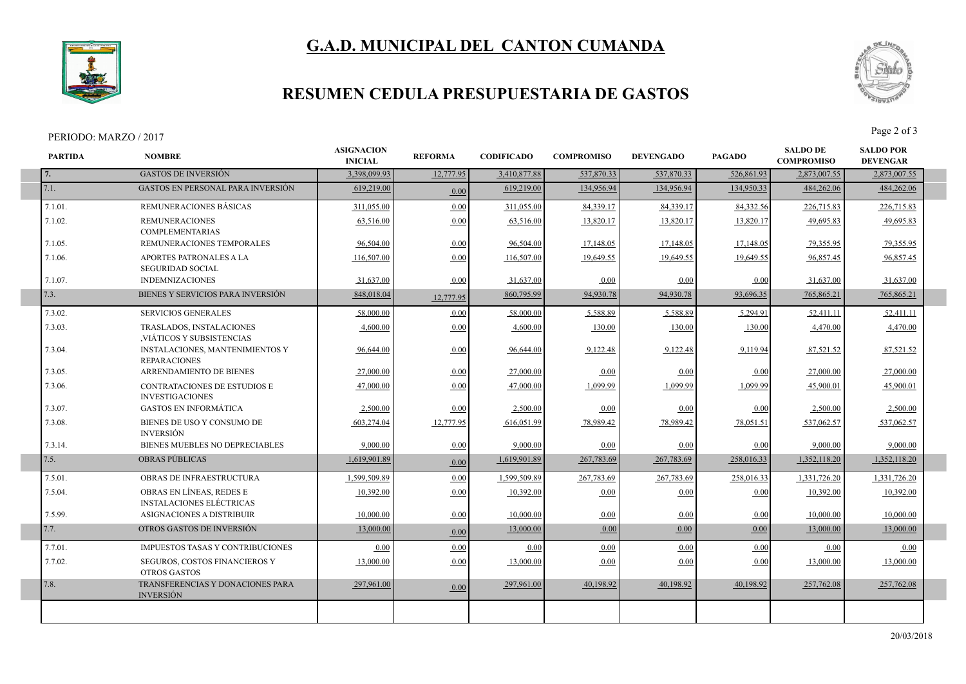# **G.A.D. MUNICIPAL DEL CANTON CUMANDA**



### **RESUMEN CEDULA PRESUPUESTARIA DE GASTOS**

#### PERIODO: MARZO / 2017 Page 2 of 3

I

I



|         | <b>NOMBRE</b>                                                 | <b>INICIAL</b> | <b>REFORMA</b> | <b>CODIFICADO</b> | <b>COMPROMISO</b> | <b>DEVENGADO</b> | <b>PAGADO</b> | <b>COMPROMISO</b> | <b>SALDO POR</b><br><b>DEVENGAR</b> |
|---------|---------------------------------------------------------------|----------------|----------------|-------------------|-------------------|------------------|---------------|-------------------|-------------------------------------|
| 7.      | <b>GASTOS DE INVERSIÓN</b>                                    | 3,398,099.93   | 12,777.95      | 3,410,877.88      | 537,870.33        | 537,870.33       | 526,861.93    | 2,873,007.55      | 2,873,007.55                        |
| 7.1.    | <b>GASTOS EN PERSONAL PARA INVERSIÓN</b>                      | 619,219.00     | 0.00           | 619,219.00        | 134,956.94        | 134,956.94       | 134,950.33    | 484,262.06        | 484,262.06                          |
| 7.1.01. | REMUNERACIONES BÁSICAS                                        | 311,055.00     | 0.00           | 311,055.00        | 84,339.17         | 84,339.17        | 84,332.56     | 226,715.83        | 226,715.83                          |
| 7.1.02. | <b>REMUNERACIONES</b><br><b>COMPLEMENTARIAS</b>               | 63,516.00      | 0.00           | 63,516.00         | 13,820.17         | 13,820.17        | 13,820.17     | 49,695.83         | 49,695.83                           |
| 7.1.05. | REMUNERACIONES TEMPORALES                                     | 96,504.00      | 0.00           | 96,504.00         | 17,148.05         | 17,148.05        | 17,148.05     | 79.355.95         | 79.355.95                           |
| 7.1.06. | APORTES PATRONALES A LA<br><b>SEGURIDAD SOCIAL</b>            | 116,507.00     | 0.00           | 116,507.00        | 19,649.55         | 19,649.55        | 19,649.55     | 96,857.45         | 96,857.45                           |
| 7.1.07. | <b>INDEMNIZACIONES</b>                                        | 31,637.00      | 0.00           | 31,637.00         | 0.00              | 0.00             | 0.00          | 31,637.00         | 31,637.00                           |
| 7.3.    | BIENES Y SERVICIOS PARA INVERSIÓN                             | 848,018.04     | 12,777.95      | 860,795.99        | 94,930.78         | 94,930.78        | 93,696.35     | 765,865.21        | 765,865.21                          |
| 7.3.02. | <b>SERVICIOS GENERALES</b>                                    | 58,000.00      | 0.00           | 58,000.00         | 5.588.89          | 5.588.89         | 5,294.91      | 52,411.11         | 52,411.11                           |
| 7.3.03. | TRASLADOS, INSTALACIONES<br>VIÁTICOS Y SUBSISTENCIAS          | 4.600.00       | 0.00           | 4.600.00          | 130.00            | 130.00           | 130.00        | 4,470.00          | 4,470.00                            |
| 7.3.04. | INSTALACIONES, MANTENIMIENTOS Y<br><b>REPARACIONES</b>        | 96,644.00      | 0.00           | 96,644.00         | 9,122.48          | 9,122.48         | 9,119.94      | 87,521.52         | 87,521.52                           |
| 7.3.05. | ARRENDAMIENTO DE BIENES                                       | 27,000.00      | 0.00           | 27,000.00         | 0.00              | 0.00             | 0.00          | 27,000.00         | 27,000.00                           |
| 7.3.06. | <b>CONTRATACIONES DE ESTUDIOS E</b><br><b>INVESTIGACIONES</b> | 47,000.00      | 0.00           | 47,000.00         | 1,099.99          | 1,099.99         | 1,099.99      | 45,900.01         | 45,900.01                           |
| 7.3.07. | <b>GASTOS EN INFORMÁTICA</b>                                  | 2,500.00       | 0.00           | 2,500.00          | 0.00              | 0.00             | 0.00          | 2,500.00          | 2,500.00                            |
| 7.3.08. | BIENES DE USO Y CONSUMO DE<br><b>INVERSIÓN</b>                | 603,274.04     | 12,777.95      | 616,051.99        | 78,989.42         | 78,989.42        | 78,051.51     | 537,062.57        | 537,062.57                          |
| 7.3.14. | BIENES MUEBLES NO DEPRECIABLES                                | 9.000.00       | 0.00           | 9,000.00          | 0.00              | 0.00             | 0.00          | 9.000.00          | 9,000.00                            |
| 7.5.    | <b>OBRAS PÚBLICAS</b>                                         | 1,619,901.89   | 0.00           | 1,619,901.89      | 267,783.69        | 267,783.69       | 258,016.33    | 1,352,118.20      | 1,352,118.20                        |
| 7.5.01. | OBRAS DE INFRAESTRUCTURA                                      | 1,599,509.89   | 0.00           | 1,599,509.89      | 267,783.69        | 267,783.69       | 258,016.33    | 1,331,726.20      | 1,331,726.20                        |
| 7.5.04. | OBRAS EN LÍNEAS, REDES E<br><b>INSTALACIONES ELÉCTRICAS</b>   | 10,392.00      | 0.00           | 10,392.00         | 0.00              | 0.00             | 0.00          | 10,392.00         | 10,392.00                           |
| 7.5.99. | ASIGNACIONES A DISTRIBUIR                                     | 10,000.00      | 0.00           | 10,000.00         | 0.00              | 0.00             | 0.00          | 10,000.00         | 10,000.00                           |
| 7.7.    | OTROS GASTOS DE INVERSIÓN                                     | 13,000.00      | 0.00           | 13,000.00         | 0.00              | 0.00             | 0.00          | 13,000.00         | 13,000.00                           |
| 7.7.01. | IMPUESTOS TASAS Y CONTRIBUCIONES                              | 0.00           | 0.00           | 0.00              | 0.00              | 0.00             | 0.00          | 0.00              | 0.00                                |
| 7.7.02. | SEGUROS, COSTOS FINANCIEROS Y<br><b>OTROS GASTOS</b>          | 13,000.00      | 0.00           | 13,000.00         | 0.00              | 0.00             | 0.00          | 13,000.00         | 13,000.00                           |
| 7.8.    | TRANSFERENCIAS Y DONACIONES PARA<br><b>INVERSIÓN</b>          | 297,961.00     | 0.00           | 297,961.00        | 40,198.92         | 40,198.92        | 40,198.92     | 257,762.08        | 257,762.08                          |